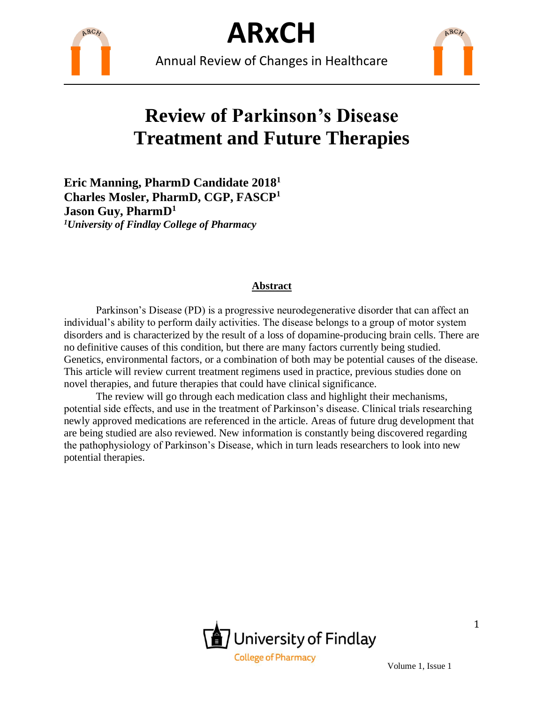



Annual Review of Changes in Healthcare



### **Review of Parkinson's Disease Treatment and Future Therapies**

**Eric Manning, PharmD Candidate 2018<sup>1</sup> Charles Mosler, PharmD, CGP, FASCP<sup>1</sup> Jason Guy, PharmD<sup>1</sup>** *<sup>1</sup>University of Findlay College of Pharmacy*

#### **Abstract**

Parkinson's Disease (PD) is a progressive neurodegenerative disorder that can affect an individual's ability to perform daily activities. The disease belongs to a group of motor system disorders and is characterized by the result of a loss of dopamine-producing brain cells. There are no definitive causes of this condition, but there are many factors currently being studied. Genetics, environmental factors, or a combination of both may be potential causes of the disease. This article will review current treatment regimens used in practice, previous studies done on novel therapies, and future therapies that could have clinical significance.

The review will go through each medication class and highlight their mechanisms, potential side effects, and use in the treatment of Parkinson's disease. Clinical trials researching newly approved medications are referenced in the article. Areas of future drug development that are being studied are also reviewed. New information is constantly being discovered regarding the pathophysiology of Parkinson's Disease, which in turn leads researchers to look into new potential therapies.



1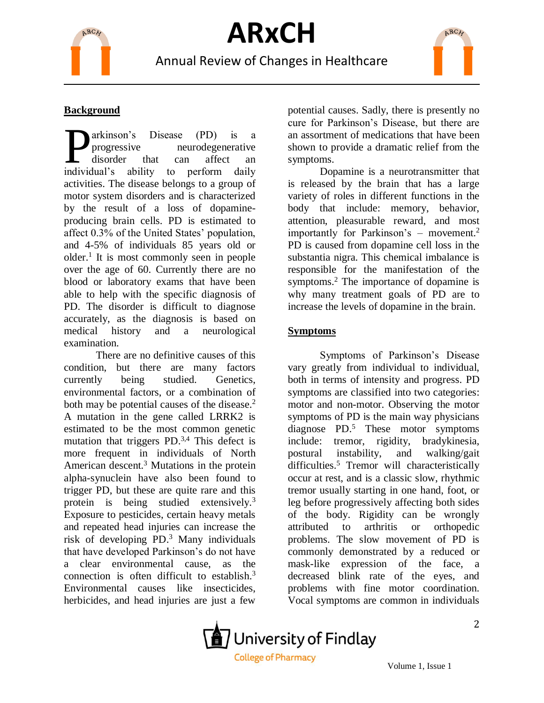



### **Background**

arkinson's Disease (PD) is a progressive neurodegenerative disorder that can affect an **Example 18 Alternative**<br>
progressive neurodegenerative<br>
disorder that can affect an<br>
individual's ability to perform daily activities. The disease belongs to a group of motor system disorders and is characterized by the result of a loss of dopamineproducing brain cells. PD is estimated to affect 0.3% of the United States' population, and 4-5% of individuals 85 years old or older. 1 It is most commonly seen in people over the age of 60. Currently there are no blood or laboratory exams that have been able to help with the specific diagnosis of PD. The disorder is difficult to diagnose accurately, as the diagnosis is based on medical history and a neurological examination.

There are no definitive causes of this condition, but there are many factors currently being studied. Genetics, environmental factors, or a combination of both may be potential causes of the disease. 2 A mutation in the gene called LRRK2 is estimated to be the most common genetic mutation that triggers  $PD^{3,4}$ . This defect is more frequent in individuals of North American descent.<sup>3</sup> Mutations in the protein alpha-synuclein have also been found to trigger PD, but these are quite rare and this protein is being studied extensively.<sup>3</sup> Exposure to pesticides, certain heavy metals and repeated head injuries can increase the risk of developing PD. <sup>3</sup> Many individuals that have developed Parkinson's do not have a clear environmental cause, as the connection is often difficult to establish. 3 Environmental causes like insecticides, herbicides, and head injuries are just a few

potential causes. Sadly, there is presently no cure for Parkinson's Disease, but there are an assortment of medications that have been shown to provide a dramatic relief from the symptoms.

Dopamine is a neurotransmitter that is released by the brain that has a large variety of roles in different functions in the body that include: memory, behavior, attention, pleasurable reward, and most importantly for Parkinson's – movement.<sup>2</sup> PD is caused from dopamine cell loss in the substantia nigra. This chemical imbalance is responsible for the manifestation of the symptoms. <sup>2</sup> The importance of dopamine is why many treatment goals of PD are to increase the levels of dopamine in the brain.

#### **Symptoms**

Symptoms of Parkinson's Disease vary greatly from individual to individual, both in terms of intensity and progress. PD symptoms are classified into two categories: motor and non-motor. Observing the motor symptoms of PD is the main way physicians diagnose PD. <sup>5</sup> These motor symptoms include: tremor, rigidity, bradykinesia, postural instability, and walking/gait difficulties. <sup>5</sup> Tremor will characteristically occur at rest, and is a classic slow, rhythmic tremor usually starting in one hand, foot, or leg before progressively affecting both sides of the body. Rigidity can be wrongly attributed to arthritis or orthopedic problems. The slow movement of PD is commonly demonstrated by a reduced or mask-like expression of the face, a decreased blink rate of the eyes, and problems with fine motor coordination. Vocal symptoms are common in individuals



2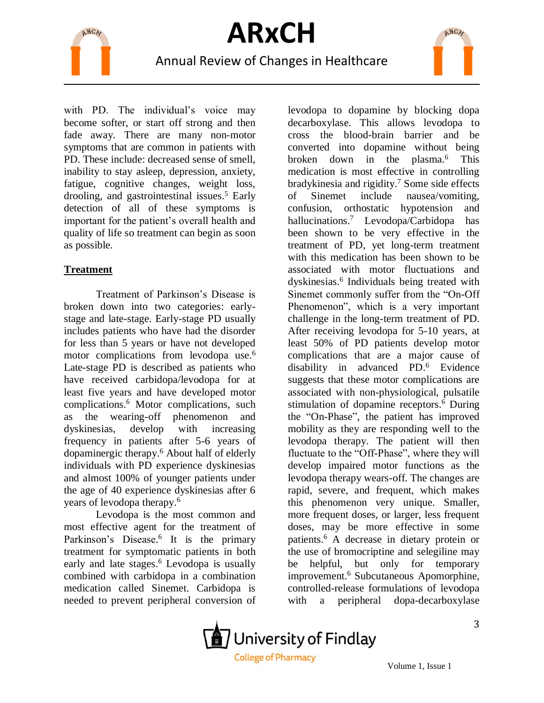

### Annual Review of Changes in Healthcare

with PD. The individual's voice may become softer, or start off strong and then fade away. There are many non-motor symptoms that are common in patients with PD. These include: decreased sense of smell, inability to stay asleep, depression, anxiety, fatigue, cognitive changes, weight loss, drooling, and gastrointestinal issues. <sup>5</sup> Early detection of all of these symptoms is important for the patient's overall health and quality of life so treatment can begin as soon as possible.

#### **Treatment**

Treatment of Parkinson's Disease is broken down into two categories: earlystage and late-stage. Early-stage PD usually includes patients who have had the disorder for less than 5 years or have not developed motor complications from levodopa use.<sup>6</sup> Late-stage PD is described as patients who have received carbidopa/levodopa for at least five years and have developed motor complications. <sup>6</sup> Motor complications, such as the wearing-off phenomenon and dyskinesias, develop with increasing frequency in patients after 5-6 years of dopaminergic therapy. <sup>6</sup> About half of elderly individuals with PD experience dyskinesias and almost 100% of younger patients under the age of 40 experience dyskinesias after 6 years of levodopa therapy.<sup>6</sup>

Levodopa is the most common and most effective agent for the treatment of Parkinson's Disease.<sup>6</sup> It is the primary treatment for symptomatic patients in both early and late stages. <sup>6</sup> Levodopa is usually combined with carbidopa in a combination medication called Sinemet. Carbidopa is needed to prevent peripheral conversion of

levodopa to dopamine by blocking dopa decarboxylase. This allows levodopa to cross the blood-brain barrier and be converted into dopamine without being broken down in the plasma. <sup>6</sup> This medication is most effective in controlling bradykinesia and rigidity. <sup>7</sup> Some side effects of Sinemet include nausea/vomiting, confusion, orthostatic hypotension and hallucinations. <sup>7</sup> Levodopa/Carbidopa has been shown to be very effective in the treatment of PD, yet long-term treatment with this medication has been shown to be associated with motor fluctuations and dyskinesias.<sup>6</sup> Individuals being treated with Sinemet commonly suffer from the "On-Off Phenomenon", which is a very important challenge in the long-term treatment of PD. After receiving levodopa for 5-10 years, at least 50% of PD patients develop motor complications that are a major cause of disability in advanced PD. <sup>6</sup> Evidence suggests that these motor complications are associated with non-physiological, pulsatile stimulation of dopamine receptors. <sup>6</sup> During the "On-Phase", the patient has improved mobility as they are responding well to the levodopa therapy. The patient will then fluctuate to the "Off-Phase", where they will develop impaired motor functions as the levodopa therapy wears-off. The changes are rapid, severe, and frequent, which makes this phenomenon very unique. Smaller, more frequent doses, or larger, less frequent doses, may be more effective in some patients. <sup>6</sup> A decrease in dietary protein or the use of bromocriptine and selegiline may be helpful, but only for temporary improvement. <sup>6</sup> Subcutaneous Apomorphine, controlled-release formulations of levodopa with a peripheral dopa-decarboxylase

ARCH

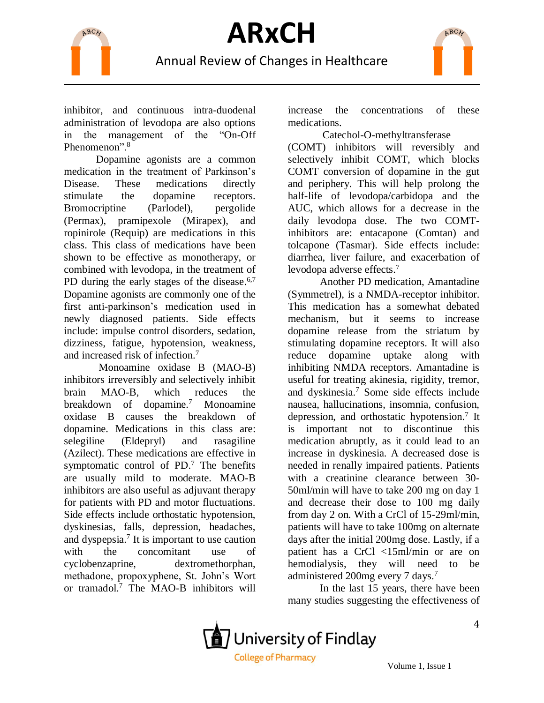



inhibitor, and continuous intra-duodenal administration of levodopa are also options in the management of the "On-Off Phenomenon".<sup>8</sup>

Dopamine agonists are a common medication in the treatment of Parkinson's Disease. These medications directly stimulate the dopamine receptors. Bromocriptine (Parlodel), pergolide (Permax), pramipexole (Mirapex), and ropinirole (Requip) are medications in this class. This class of medications have been shown to be effective as monotherapy, or combined with levodopa, in the treatment of PD during the early stages of the disease.<sup>6,7</sup> Dopamine agonists are commonly one of the first anti-parkinson's medication used in newly diagnosed patients. Side effects include: impulse control disorders, sedation, dizziness, fatigue, hypotension, weakness, and increased risk of infection. 7

Monoamine oxidase B (MAO-B) inhibitors irreversibly and selectively inhibit brain MAO-B, which reduces the breakdown of dopamine. <sup>7</sup> Monoamine oxidase B causes the breakdown of dopamine. Medications in this class are: selegiline (Eldepryl) and rasagiline (Azilect). These medications are effective in symptomatic control of PD.<sup>7</sup> The benefits are usually mild to moderate. MAO-B inhibitors are also useful as adjuvant therapy for patients with PD and motor fluctuations. Side effects include orthostatic hypotension, dyskinesias, falls, depression, headaches, and dyspepsia. 7 It is important to use caution with the concomitant use of cyclobenzaprine, dextromethorphan, methadone, propoxyphene, St. John's Wort or tramadol. <sup>7</sup> The MAO-B inhibitors will increase the concentrations of these medications.

Catechol-O-methyltransferase

(COMT) inhibitors will reversibly and selectively inhibit COMT, which blocks COMT conversion of dopamine in the gut and periphery. This will help prolong the half-life of levodopa/carbidopa and the AUC, which allows for a decrease in the daily levodopa dose. The two COMTinhibitors are: entacapone (Comtan) and tolcapone (Tasmar). Side effects include: diarrhea, liver failure, and exacerbation of levodopa adverse effects. 7

Another PD medication, Amantadine (Symmetrel), is a NMDA-receptor inhibitor. This medication has a somewhat debated mechanism, but it seems to increase dopamine release from the striatum by stimulating dopamine receptors. It will also reduce dopamine uptake along with inhibiting NMDA receptors. Amantadine is useful for treating akinesia, rigidity, tremor, and dyskinesia. <sup>7</sup> Some side effects include nausea, hallucinations, insomnia, confusion, depression, and orthostatic hypotension. 7 It is important not to discontinue this medication abruptly, as it could lead to an increase in dyskinesia. A decreased dose is needed in renally impaired patients. Patients with a creatinine clearance between 30- 50ml/min will have to take 200 mg on day 1 and decrease their dose to 100 mg daily from day 2 on. With a CrCl of 15-29ml/min, patients will have to take 100mg on alternate days after the initial 200mg dose. Lastly, if a patient has a CrCl <15ml/min or are on hemodialysis, they will need to be administered 200mg every 7 days.<sup>7</sup>

In the last 15 years, there have been many studies suggesting the effectiveness of



4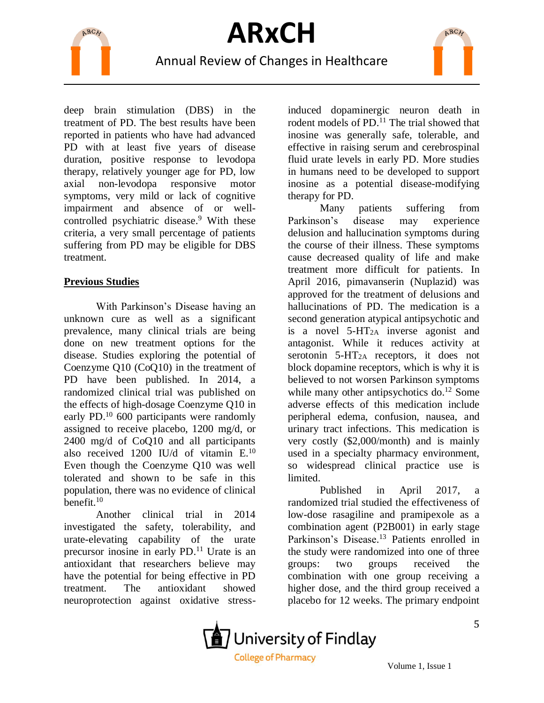

### Annual Review of Changes in Healthcare

deep brain stimulation (DBS) in the treatment of PD. The best results have been reported in patients who have had advanced PD with at least five years of disease duration, positive response to levodopa therapy, relatively younger age for PD, low axial non-levodopa responsive motor symptoms, very mild or lack of cognitive impairment and absence of or wellcontrolled psychiatric disease. <sup>9</sup> With these criteria, a very small percentage of patients suffering from PD may be eligible for DBS treatment.

#### **Previous Studies**

With Parkinson's Disease having an unknown cure as well as a significant prevalence, many clinical trials are being done on new treatment options for the disease. Studies exploring the potential of Coenzyme Q10 (CoQ10) in the treatment of PD have been published. In 2014, a randomized clinical trial was published on the effects of high-dosage Coenzyme Q10 in early PD.<sup>10</sup> 600 participants were randomly assigned to receive placebo, 1200 mg/d, or 2400 mg/d of CoQ10 and all participants also received 1200 IU/d of vitamin E.<sup>10</sup> Even though the Coenzyme Q10 was well tolerated and shown to be safe in this population, there was no evidence of clinical benefit. 10

Another clinical trial in 2014 investigated the safety, tolerability, and urate-elevating capability of the urate precursor inosine in early PD. <sup>11</sup> Urate is an antioxidant that researchers believe may have the potential for being effective in PD treatment. The antioxidant showed neuroprotection against oxidative stressinduced dopaminergic neuron death in rodent models of PD. <sup>11</sup> The trial showed that inosine was generally safe, tolerable, and effective in raising serum and cerebrospinal fluid urate levels in early PD. More studies in humans need to be developed to support inosine as a potential disease-modifying therapy for PD.

ARCH

Many patients suffering from Parkinson's disease may experience delusion and hallucination symptoms during the course of their illness. These symptoms cause decreased quality of life and make treatment more difficult for patients. In April 2016, pimavanserin (Nuplazid) was approved for the treatment of delusions and hallucinations of PD. The medication is a second generation atypical antipsychotic and is a novel 5-HT2A inverse agonist and antagonist. While it reduces activity at serotonin  $5-HT_{2A}$  receptors, it does not block dopamine receptors, which is why it is believed to not worsen Parkinson symptoms while many other antipsychotics do.<sup>12</sup> Some adverse effects of this medication include peripheral edema, confusion, nausea, and urinary tract infections. This medication is very costly (\$2,000/month) and is mainly used in a specialty pharmacy environment, so widespread clinical practice use is limited.

Published in April 2017, a randomized trial studied the effectiveness of low-dose rasagiline and pramipexole as a combination agent (P2B001) in early stage Parkinson's Disease. <sup>13</sup> Patients enrolled in the study were randomized into one of three groups: two groups received the combination with one group receiving a higher dose, and the third group received a placebo for 12 weeks. The primary endpoint

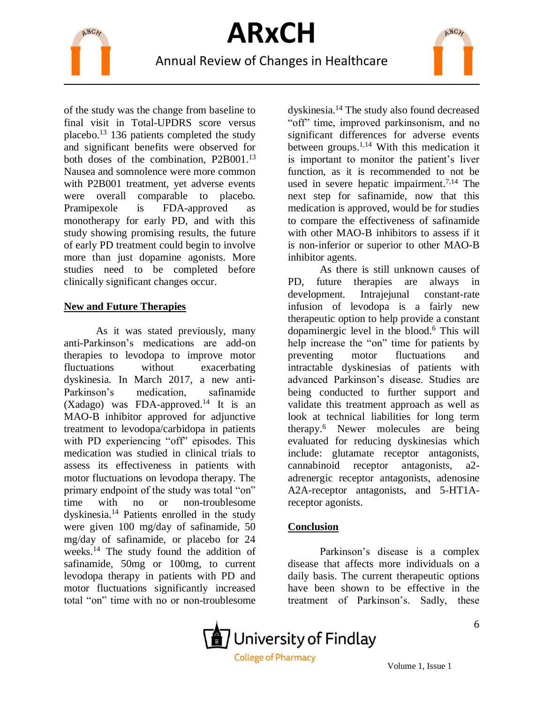

Annual Review of Changes in Healthcare

of the study was the change from baseline to final visit in Total-UPDRS score versus placebo. <sup>13</sup> 136 patients completed the study and significant benefits were observed for both doses of the combination, P2B001. 13 Nausea and somnolence were more common with P2B001 treatment, yet adverse events were overall comparable to placebo. Pramipexole is FDA-approved as monotherapy for early PD, and with this study showing promising results, the future of early PD treatment could begin to involve more than just dopamine agonists. More studies need to be completed before clinically significant changes occur.

### **New and Future Therapies**

As it was stated previously, many anti-Parkinson's medications are add-on therapies to levodopa to improve motor fluctuations without exacerbating dyskinesia. In March 2017, a new anti-Parkinson's medication, safinamide (Xadago) was FDA-approved. <sup>14</sup> It is an MAO-B inhibitor approved for adjunctive treatment to levodopa/carbidopa in patients with PD experiencing "off" episodes. This medication was studied in clinical trials to assess its effectiveness in patients with motor fluctuations on levodopa therapy. The primary endpoint of the study was total "on" time with no or non-troublesome dyskinesia. <sup>14</sup> Patients enrolled in the study were given 100 mg/day of safinamide, 50 mg/day of safinamide, or placebo for 24 weeks.<sup>14</sup> The study found the addition of safinamide, 50mg or 100mg, to current levodopa therapy in patients with PD and motor fluctuations significantly increased total "on" time with no or non-troublesome

dyskinesia.<sup>14</sup> The study also found decreased "off" time, improved parkinsonism, and no significant differences for adverse events between groups.<sup>1,14</sup> With this medication it is important to monitor the patient's liver function, as it is recommended to not be used in severe hepatic impairment.<sup>7,14</sup> The next step for safinamide, now that this medication is approved, would be for studies to compare the effectiveness of safinamide with other MAO-B inhibitors to assess if it is non-inferior or superior to other MAO-B inhibitor agents.

ARCH

As there is still unknown causes of PD, future therapies are always in development. Intrajejunal constant-rate infusion of levodopa is a fairly new therapeutic option to help provide a constant dopaminergic level in the blood. <sup>6</sup> This will help increase the "on" time for patients by preventing motor fluctuations and intractable dyskinesias of patients with advanced Parkinson's disease. Studies are being conducted to further support and validate this treatment approach as well as look at technical liabilities for long term therapy. <sup>6</sup> Newer molecules are being evaluated for reducing dyskinesias which include: glutamate receptor antagonists, cannabinoid receptor antagonists, a2 adrenergic receptor antagonists, adenosine A2A-receptor antagonists, and 5-HT1Areceptor agonists.

#### **Conclusion**

Parkinson's disease is a complex disease that affects more individuals on a daily basis. The current therapeutic options have been shown to be effective in the treatment of Parkinson's. Sadly, these

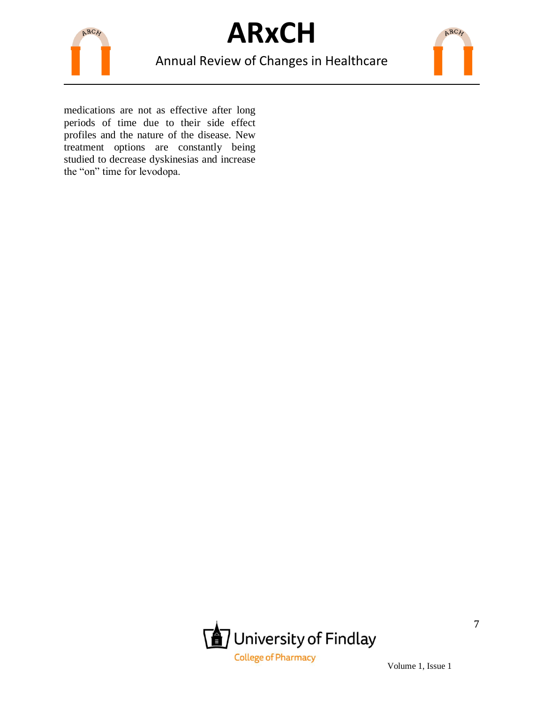



Annual Review of Changes in Healthcare



medications are not as effective after long periods of time due to their side effect profiles and the nature of the disease. New treatment options are constantly being studied to decrease dyskinesias and increase the "on" time for levodopa.